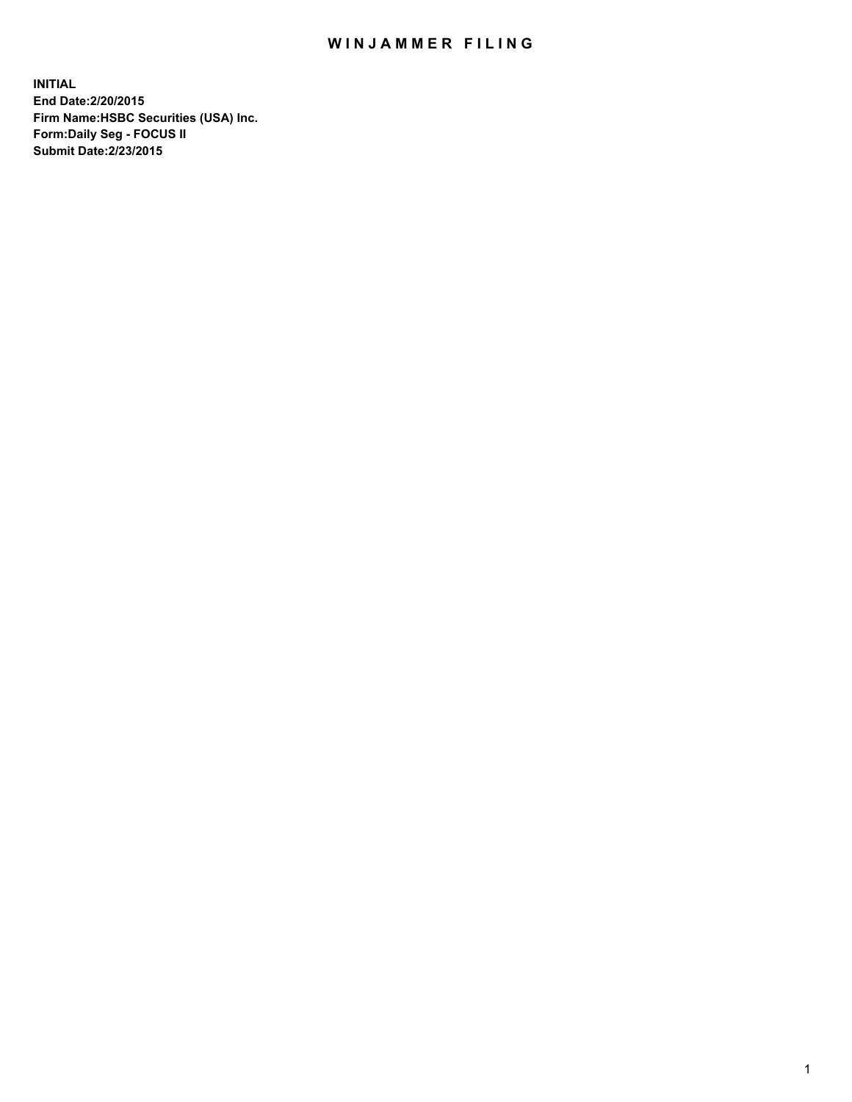## WIN JAMMER FILING

**INITIAL End Date:2/20/2015 Firm Name:HSBC Securities (USA) Inc. Form:Daily Seg - FOCUS II Submit Date:2/23/2015**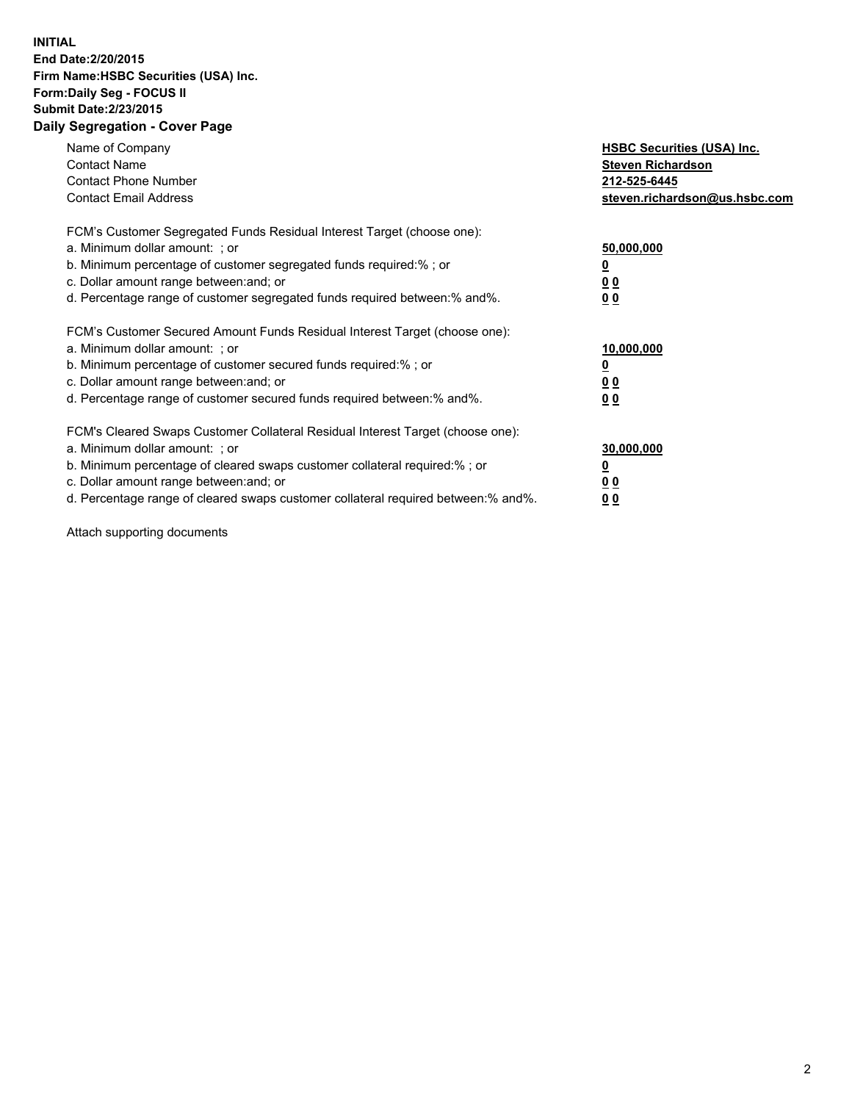## **INITIAL End Date:2/20/2015 Firm Name:HSBC Securities (USA) Inc. Form:Daily Seg - FOCUS II Submit Date:2/23/2015 Daily Segregation - Cover Page**

| Name of Company<br><b>Contact Name</b><br><b>Contact Phone Number</b><br><b>Contact Email Address</b>                                                                                                                                                                                                                          | <b>HSBC Securities (USA) Inc.</b><br><b>Steven Richardson</b><br>212-525-6445<br>steven.richardson@us.hsbc.com |
|--------------------------------------------------------------------------------------------------------------------------------------------------------------------------------------------------------------------------------------------------------------------------------------------------------------------------------|----------------------------------------------------------------------------------------------------------------|
| FCM's Customer Segregated Funds Residual Interest Target (choose one):<br>a. Minimum dollar amount: ; or<br>b. Minimum percentage of customer segregated funds required:%; or<br>c. Dollar amount range between: and; or<br>d. Percentage range of customer segregated funds required between: % and %.                        | 50,000,000<br>0 <sub>0</sub><br>0 <sub>0</sub>                                                                 |
| FCM's Customer Secured Amount Funds Residual Interest Target (choose one):<br>a. Minimum dollar amount: ; or<br>b. Minimum percentage of customer secured funds required:%; or<br>c. Dollar amount range between: and; or<br>d. Percentage range of customer secured funds required between:% and%.                            | 10,000,000<br><u>0</u><br>0 <sub>0</sub><br>0 <sub>0</sub>                                                     |
| FCM's Cleared Swaps Customer Collateral Residual Interest Target (choose one):<br>a. Minimum dollar amount: ; or<br>b. Minimum percentage of cleared swaps customer collateral required:% ; or<br>c. Dollar amount range between: and; or<br>d. Percentage range of cleared swaps customer collateral required between:% and%. | 30,000,000<br>00<br><u>00</u>                                                                                  |

Attach supporting documents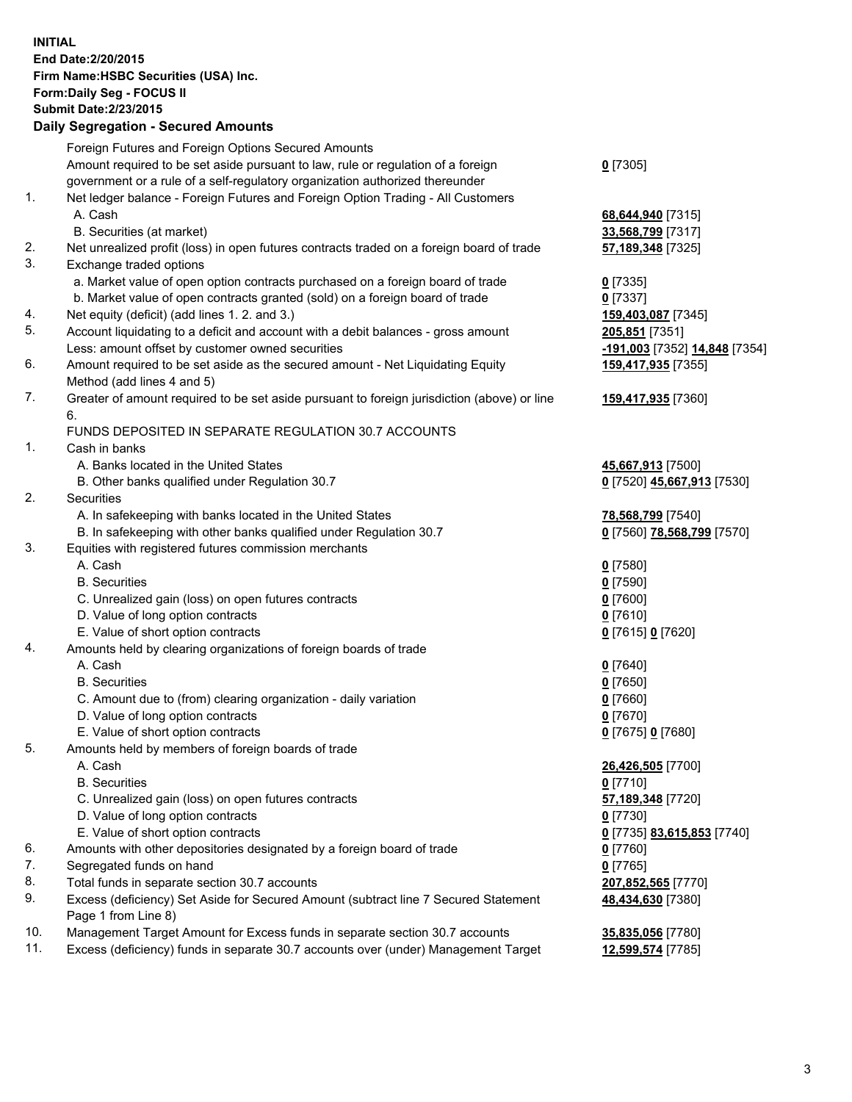**INITIAL End Date:2/20/2015 Firm Name:HSBC Securities (USA) Inc. Form:Daily Seg - FOCUS II Submit Date:2/23/2015 Daily Segregation - Secured Amounts**

Foreign Futures and Foreign Options Secured Amounts Amount required to be set aside pursuant to law, rule or regulation of a foreign government or a rule of a self-regulatory organization authorized thereunder **0** [7305] 1. Net ledger balance - Foreign Futures and Foreign Option Trading - All Customers A. Cash **68,644,940** [7315] B. Securities (at market) **33,568,799** [7317] 2. Net unrealized profit (loss) in open futures contracts traded on a foreign board of trade **57,189,348** [7325] 3. Exchange traded options a. Market value of open option contracts purchased on a foreign board of trade **0** [7335] b. Market value of open contracts granted (sold) on a foreign board of trade **0** [7337] 4. Net equity (deficit) (add lines 1. 2. and 3.) **159,403,087** [7345] 5. Account liquidating to a deficit and account with a debit balances - gross amount **205,851** [7351] Less: amount offset by customer owned securities **-191,003** [7352] **14,848** [7354] 6. Amount required to be set aside as the secured amount - Net Liquidating Equity Method (add lines 4 and 5) **159,417,935** [7355] 7. Greater of amount required to be set aside pursuant to foreign jurisdiction (above) or line 6. **159,417,935** [7360] FUNDS DEPOSITED IN SEPARATE REGULATION 30.7 ACCOUNTS 1. Cash in banks A. Banks located in the United States **45,667,913** [7500] B. Other banks qualified under Regulation 30.7 **0** [7520] **45,667,913** [7530] 2. Securities A. In safekeeping with banks located in the United States **78,568,799** [7540] B. In safekeeping with other banks qualified under Regulation 30.7 **0** [7560] **78,568,799** [7570] 3. Equities with registered futures commission merchants A. Cash **0** [7580] B. Securities **0** [7590] C. Unrealized gain (loss) on open futures contracts **0** [7600] D. Value of long option contracts **0** [7610] E. Value of short option contracts **0** [7615] **0** [7620] 4. Amounts held by clearing organizations of foreign boards of trade A. Cash **0** [7640] B. Securities **0** [7650] C. Amount due to (from) clearing organization - daily variation **0** [7660] D. Value of long option contracts **0** [7670] E. Value of short option contracts **0** [7675] **0** [7680] 5. Amounts held by members of foreign boards of trade A. Cash **26,426,505** [7700] B. Securities **0** [7710] C. Unrealized gain (loss) on open futures contracts **57,189,348** [7720] D. Value of long option contracts **0** [7730] E. Value of short option contracts **0** [7735] **83,615,853** [7740] 6. Amounts with other depositories designated by a foreign board of trade **0** [7760] 7. Segregated funds on hand **0** [7765] 8. Total funds in separate section 30.7 accounts **207,852,565** [7770] 9. Excess (deficiency) Set Aside for Secured Amount (subtract line 7 Secured Statement Page 1 from Line 8) **48,434,630** [7380] 10. Management Target Amount for Excess funds in separate section 30.7 accounts **35,835,056** [7780] 11. Excess (deficiency) funds in separate 30.7 accounts over (under) Management Target **12,599,574** [7785]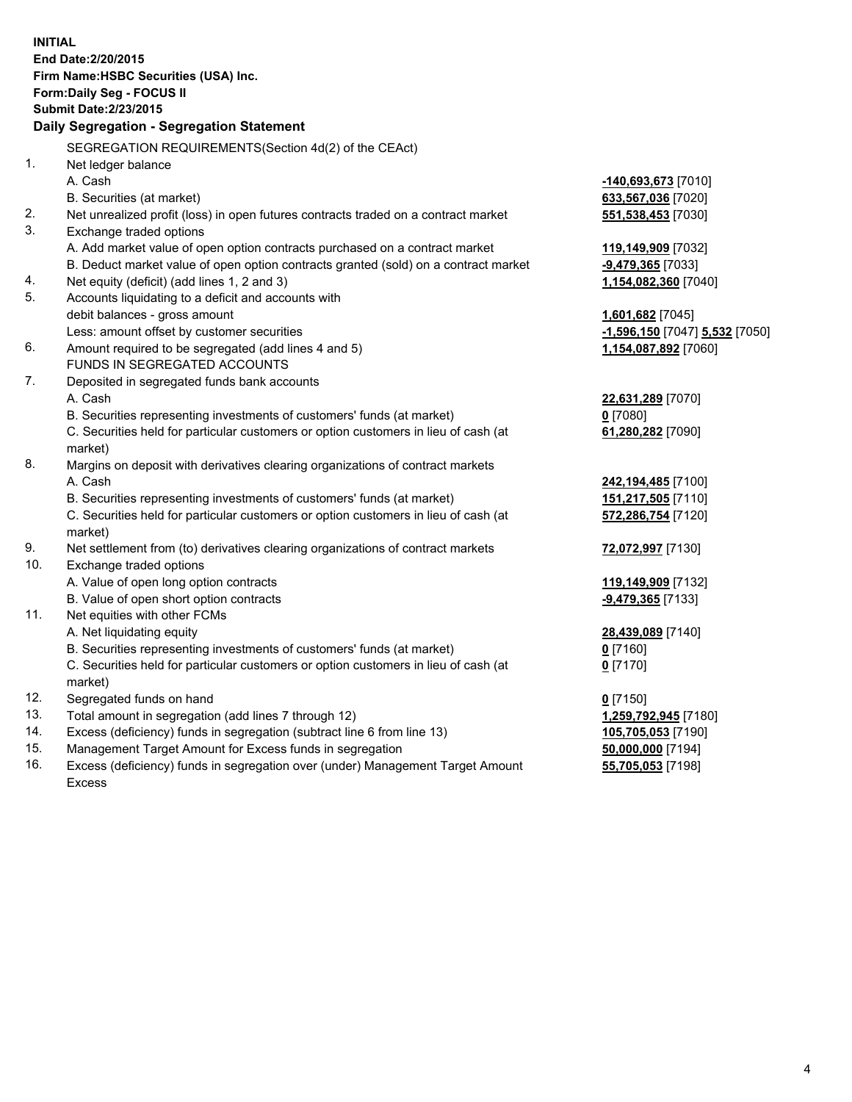**INITIAL End Date:2/20/2015 Firm Name:HSBC Securities (USA) Inc. Form:Daily Seg - FOCUS II Submit Date:2/23/2015 Daily Segregation - Segregation Statement** SEGREGATION REQUIREMENTS(Section 4d(2) of the CEAct) 1. Net ledger balance A. Cash **-140,693,673** [7010] B. Securities (at market) **633,567,036** [7020] 2. Net unrealized profit (loss) in open futures contracts traded on a contract market **551,538,453** [7030] 3. Exchange traded options A. Add market value of open option contracts purchased on a contract market **119,149,909** [7032] B. Deduct market value of open option contracts granted (sold) on a contract market **-9,479,365** [7033] 4. Net equity (deficit) (add lines 1, 2 and 3) **1,154,082,360** [7040] 5. Accounts liquidating to a deficit and accounts with debit balances - gross amount **1,601,682** [7045] Less: amount offset by customer securities **-1,596,150** [7047] **5,532** [7050] 6. Amount required to be segregated (add lines 4 and 5) **1,154,087,892** [7060] FUNDS IN SEGREGATED ACCOUNTS 7. Deposited in segregated funds bank accounts A. Cash **22,631,289** [7070] B. Securities representing investments of customers' funds (at market) **0** [7080] C. Securities held for particular customers or option customers in lieu of cash (at market) **61,280,282** [7090] 8. Margins on deposit with derivatives clearing organizations of contract markets A. Cash **242,194,485** [7100] B. Securities representing investments of customers' funds (at market) **151,217,505** [7110] C. Securities held for particular customers or option customers in lieu of cash (at market) **572,286,754** [7120] 9. Net settlement from (to) derivatives clearing organizations of contract markets **72,072,997** [7130] 10. Exchange traded options A. Value of open long option contracts **119,149,909** [7132] B. Value of open short option contracts **-9,479,365** [7133] 11. Net equities with other FCMs A. Net liquidating equity **28,439,089** [7140] B. Securities representing investments of customers' funds (at market) **0** [7160] C. Securities held for particular customers or option customers in lieu of cash (at market) **0** [7170] 12. Segregated funds on hand **0** [7150] 13. Total amount in segregation (add lines 7 through 12) **1,259,792,945** [7180] 14. Excess (deficiency) funds in segregation (subtract line 6 from line 13) **105,705,053** [7190] 15. Management Target Amount for Excess funds in segregation **50,000,000** [7194] **55,705,053** [7198]

16. Excess (deficiency) funds in segregation over (under) Management Target Amount Excess